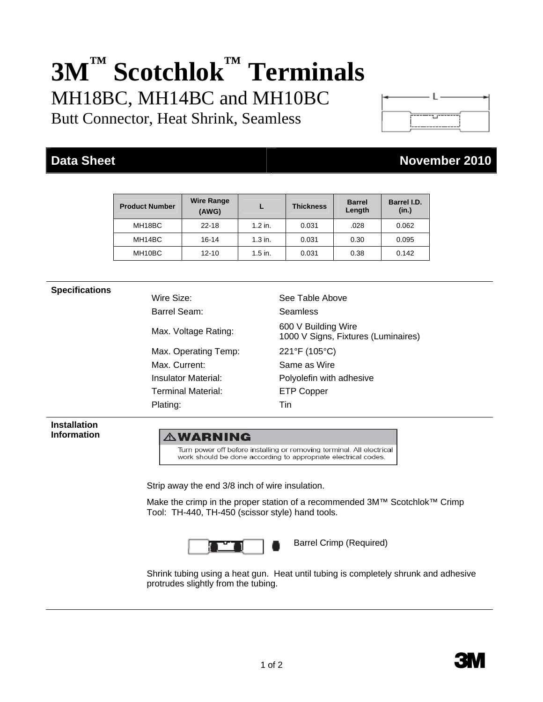# **3M™ Scotchlok™ Terminals**  MH18BC, MH14BC and MH10BC

Butt Connector, Heat Shrink, Seamless

## **Data Sheet November 2010**

| <b>Product Number</b> | <b>Wire Range</b><br>(AWG) |           | <b>Thickness</b> | <b>Barrel</b><br>Length | Barrel I.D.<br>(in.) |
|-----------------------|----------------------------|-----------|------------------|-------------------------|----------------------|
| MH18BC                | $22 - 18$                  | $1.2$ in. | 0.031            | .028                    | 0.062                |
| MH14BC                | 16-14                      | $1.3$ in. | 0.031            | 0.30                    | 0.095                |
| MH10BC                | $12 - 10$                  | $1.5$ in. | 0.031            | 0.38                    | 0.142                |

**Specifications**<br>
Wire Size: See Table Above Barrel Seam: Seamless Max. Voltage Rating: 600 V Building Wire 1000 V Signs, Fixtures (Luminaires) Max. Operating Temp: 221°F (105°C) Max. Current: Same as Wire Insulator Material: Polyolefin with adhesive Terminal Material: ETP Copper Plating: Tin

**Installation Information** 

### **AWARNING**

Turn power off before installing or removing terminal. All electrical work should be done according to appropriate electrical codes.

Strip away the end 3/8 inch of wire insulation.

Make the crimp in the proper station of a recommended 3M™ Scotchlok™ Crimp Tool: TH-440, TH-450 (scissor style) hand tools.



Barrel Crimp (Required)

Shrink tubing using a heat gun. Heat until tubing is completely shrunk and adhesive protrudes slightly from the tubing.